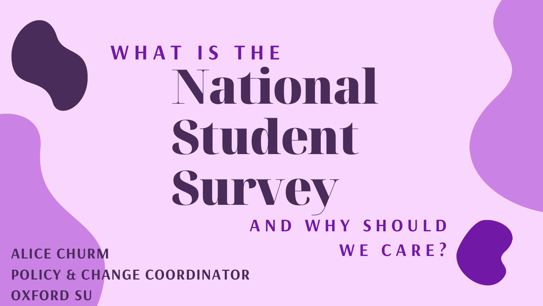

# National Student Survey **W H A T I S T H E**

# **A N D W H Y S H O U L D**



**ALICE CHURM W E C A R E ? POLICY & CHANGE COORDINATOR OXFORD SU**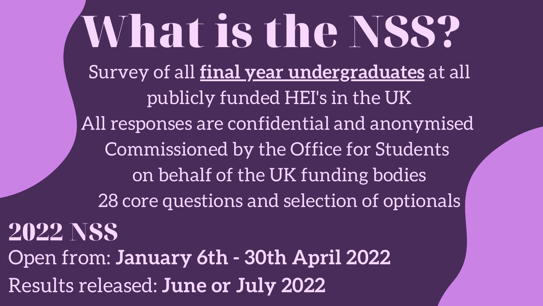### Survey of all **final year undergraduates** at all publicly funded HEI's in the UK All responses are confidential and anonymised Commissioned by the Office for Students on behalf of the UK funding bodies 28 core questions and selection of optionals What is the NSS? 2022 NSS Open from: **January 6th - 30th April 2022**

Results released: **June or July 2022**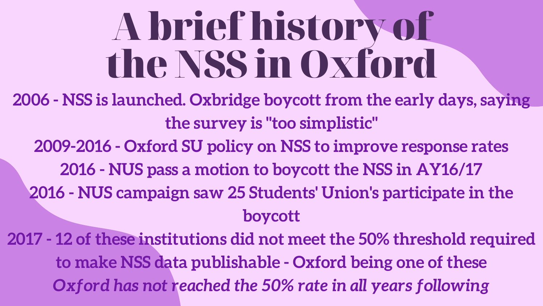## A briefhistory of the NSS in Oxford

- **2006 - NSS is launched. Oxbridge boycott from the early days, saying the survey is "too simplistic"**
	-
	-
	- **2009-2016 - Oxford SU policy on NSS to improve response rates 2016 - NUS pass a motion to boycott the NSS in AY16/17 2016 - NUS campaign saw 25 Students' Union's participate in the**
	- **boycott**
- **2017 - 12 of these institutions did not meet the 50% threshold required to make NSS data publishable - Oxford being one of these** *Oxford has not reached the 50% rate in all years following*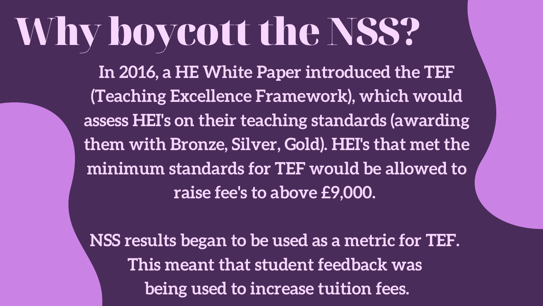# Whyboycott the NSS?

**In 2016, a HE White Paper introduced the TEF (Teaching Excellence Framework), which would assess HEI's on their teaching standards (awarding them with Bronze, Silver, Gold). HEI's that met the minimum standards for TEF would be allowed to raise fee's to above £9,000.**

**NSS results began to be used as a metric for TEF. This meant that student feedback was being used to increase tuition fees.**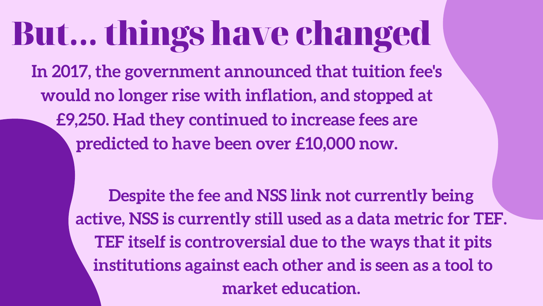### But... thingshave changed

**In 2017, the government announced that tuition fee's would no longer rise with inflation, and stopped at £9,250. Had they continued to increase fees are predicted to have been over £10,000 now.**

> **Despite the fee and NSS link not currently being active, NSS is currently still used as a data metric for TEF. TEF itself is controversial due to the ways that it pits institutions against each other and is seen as a tool to market education.**

- 
- 
- 
- 

- 
-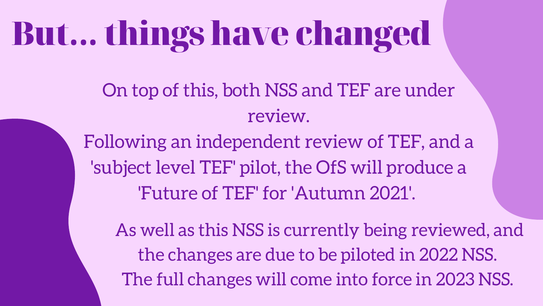## But... thingshave changed

- On top of this, both NSS and TEF are under review.
- Following an independent review of TEF, and a 'subject level TEF' pilot, the OfS will produce a 'Future of TEF' for 'Autumn 2021' .
	- As well as this NSS is currently being reviewed, and the changes are due to be piloted in 2022 NSS. The full changes will come into force in 2023 NSS.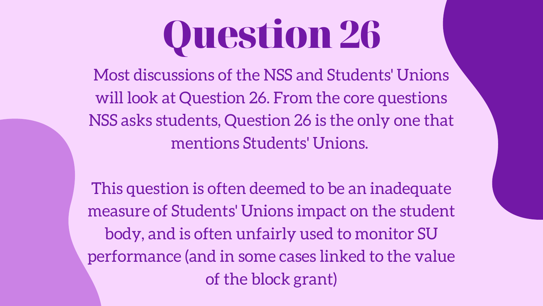## Question26

Most discussions of the NSS and Students' Unions will look at Question 26. From the core questions NSS asks students, Question 26 is the only one that mentions Students' Unions.

This question is often deemed to be an inadequate measure of Students' Unions impact on the student body, and is often unfairly used to monitor SU performance (and in some cases linked to the value of the block grant)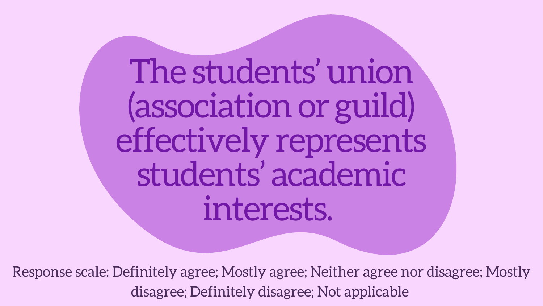The students' union (associationor guild) effectively represents students' academic interests.

Response scale: Definitely agree; Mostly agree; Neither agree nor disagree; Mostly disagree; Definitely disagree; Not applicable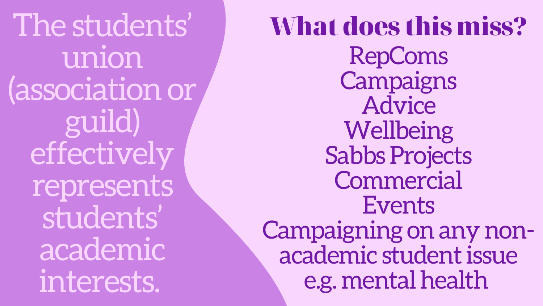The students' union (associationor guild) effectively represents students' academic interests.

RepComs Campaigns Advice Wellbeing Sabbs Projects Commercial Events Campaigning on any nonacademic studentissue e.g. mental health What does this miss?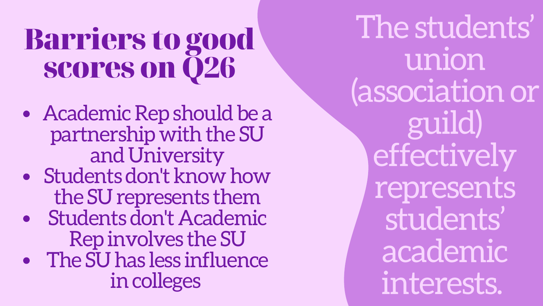The students' union (association or guild) effectively represents students' academic interests.

- Academic Rep should be a partnership with the SU and University
- Students don't know how the SU represents them
- Students don't Academic Rep involves the SU
- The SU has less influence incolleges

### Barriers to good scores on Q26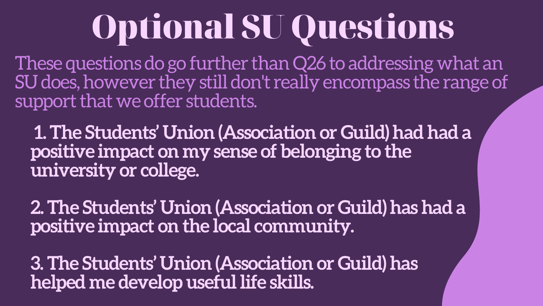## Optional SU Questions

**1. The Students' Union (Association or Guild) had had a positive impact on my sense of belonging to the university or college.**

These questions do go further than Q26 to addressing what an SU does, however they still don't really encompass the range of support that we offer students.

**2. The Students' Union (Association or Guild) has had a positive impact on the local community.**

**3. The Students' Union (Association or Guild) has helped me develop useful life skills.**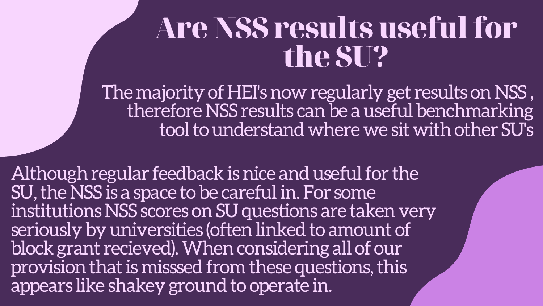### Are NSS resultsuseful for the SU?

The majority of HEI's now regularly get results on NSS, therefore NSS results can be a useful benchmarking tool to understand where we sit with other SU's

Although regular feedback is nice and useful for the SU, the NSS is a space to be careful in. For some institutions NSS scores on SU questions are taken very seriously by universities (often linked to amount of block grant recieved). When considering all of our provision that is misssed from these questions, this appears like shakey ground to operate in.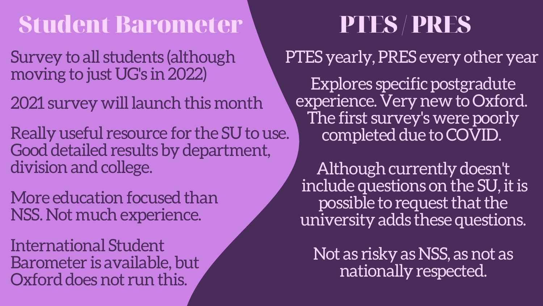### Student Barometer PTES /PRES

- Survey to all students (although moving to just UG's in2022)
- 2021 survey will launch this month
- Really useful resource for the SU to use. Good detailed results by department, division and college.
- More education focused than NSS. Not muchexperience.
- International Student Barometer is available, but Oxford does not run this.
- - - -

Explores specific postgradute experience. Very new to Oxford. The first survey's were poorly completed due to COVID.

PTES yearly, PRES every other year

Although currently doesn't include questions on the SU, it is possible to request that the university adds these questions.

Not as risky as NSS, as not as nationally respected.